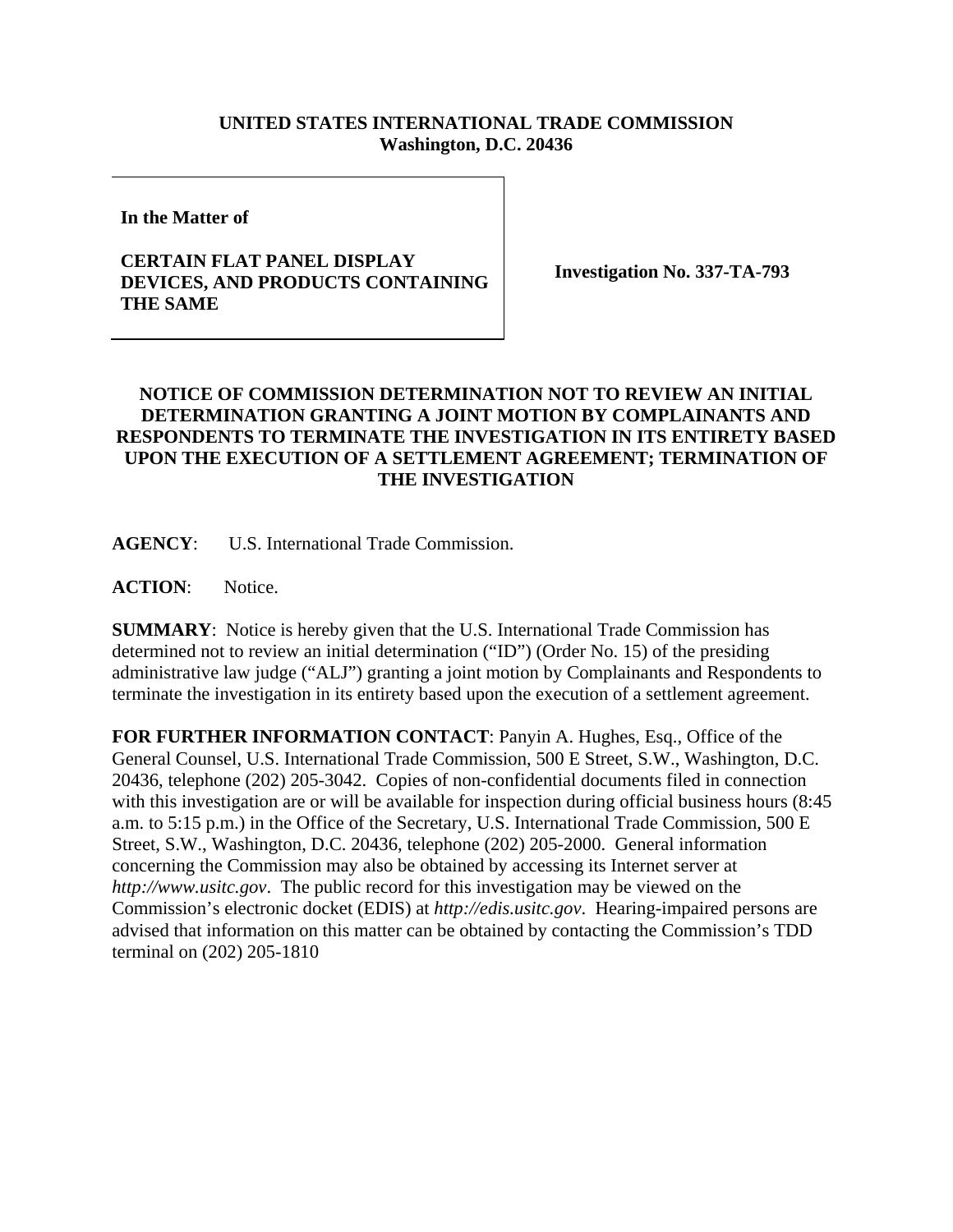## **UNITED STATES INTERNATIONAL TRADE COMMISSION Washington, D.C. 20436**

**In the Matter of** 

## **CERTAIN FLAT PANEL DISPLAY DEVICES, AND PRODUCTS CONTAINING THE SAME**

**Investigation No. 337-TA-793** 

## **NOTICE OF COMMISSION DETERMINATION NOT TO REVIEW AN INITIAL DETERMINATION GRANTING A JOINT MOTION BY COMPLAINANTS AND RESPONDENTS TO TERMINATE THE INVESTIGATION IN ITS ENTIRETY BASED UPON THE EXECUTION OF A SETTLEMENT AGREEMENT; TERMINATION OF THE INVESTIGATION**

**AGENCY**: U.S. International Trade Commission.

**ACTION**: Notice.

**SUMMARY**: Notice is hereby given that the U.S. International Trade Commission has determined not to review an initial determination ("ID") (Order No. 15) of the presiding administrative law judge ("ALJ") granting a joint motion by Complainants and Respondents to terminate the investigation in its entirety based upon the execution of a settlement agreement.

**FOR FURTHER INFORMATION CONTACT**: Panyin A. Hughes, Esq., Office of the General Counsel, U.S. International Trade Commission, 500 E Street, S.W., Washington, D.C. 20436, telephone (202) 205-3042. Copies of non-confidential documents filed in connection with this investigation are or will be available for inspection during official business hours (8:45 a.m. to 5:15 p.m.) in the Office of the Secretary, U.S. International Trade Commission, 500 E Street, S.W., Washington, D.C. 20436, telephone (202) 205-2000. General information concerning the Commission may also be obtained by accessing its Internet server at *http://www.usitc.gov*. The public record for this investigation may be viewed on the Commission's electronic docket (EDIS) at *http://edis.usitc.gov*. Hearing-impaired persons are advised that information on this matter can be obtained by contacting the Commission's TDD terminal on (202) 205-1810